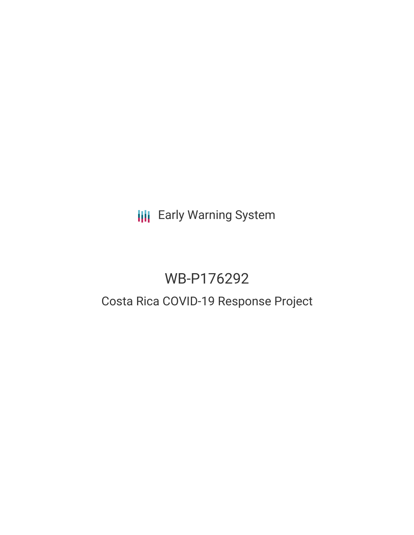**III** Early Warning System

# WB-P176292

## Costa Rica COVID-19 Response Project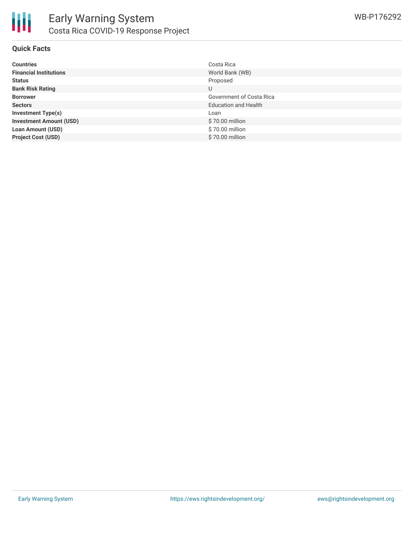

#### **Quick Facts**

| <b>Countries</b>               | Costa Rica                  |
|--------------------------------|-----------------------------|
| <b>Financial Institutions</b>  | World Bank (WB)             |
| <b>Status</b>                  | Proposed                    |
| <b>Bank Risk Rating</b>        | U                           |
| <b>Borrower</b>                | Government of Costa Rica    |
| <b>Sectors</b>                 | <b>Education and Health</b> |
| <b>Investment Type(s)</b>      | Loan                        |
| <b>Investment Amount (USD)</b> | \$70.00 million             |
| <b>Loan Amount (USD)</b>       | \$70.00 million             |
| <b>Project Cost (USD)</b>      | \$70.00 million             |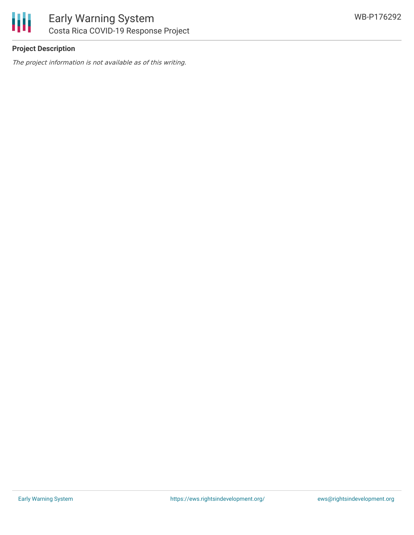

### **Project Description**

The project information is not available as of this writing.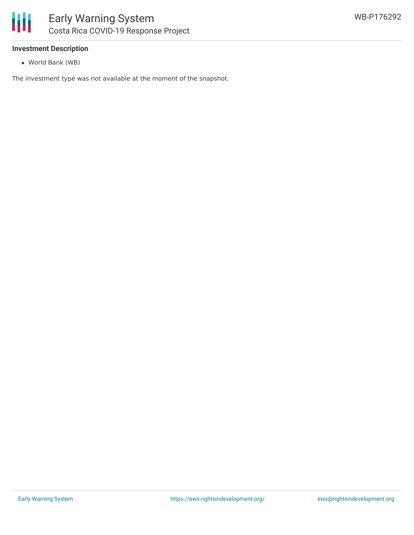#### **Investment Description**

World Bank (WB)

The investment type was not available at the moment of the snapshot.